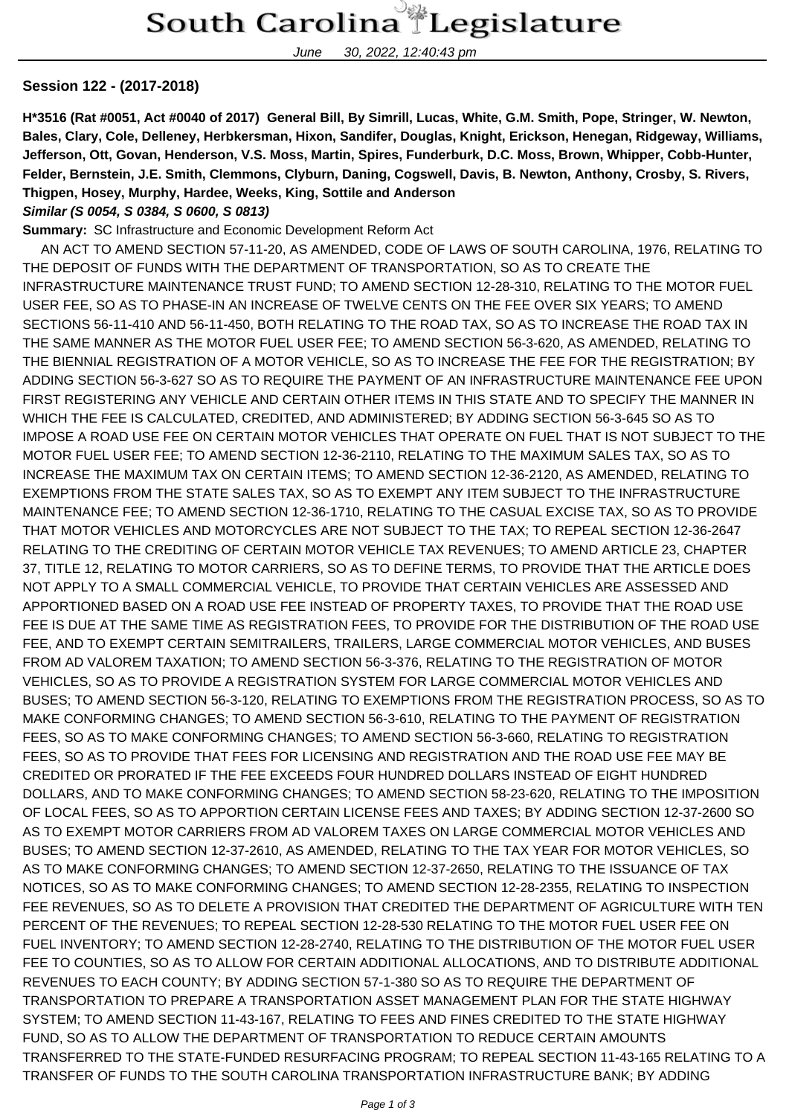June 30, 2022, 12:40:43 pm

## **Session 122 - (2017-2018)**

**H\*3516 (Rat #0051, Act #0040 of 2017) General Bill, By Simrill, Lucas, White, G.M. Smith, Pope, Stringer, W. Newton, Bales, Clary, Cole, Delleney, Herbkersman, Hixon, Sandifer, Douglas, Knight, Erickson, Henegan, Ridgeway, Williams, Jefferson, Ott, Govan, Henderson, V.S. Moss, Martin, Spires, Funderburk, D.C. Moss, Brown, Whipper, Cobb-Hunter, Felder, Bernstein, J.E. Smith, Clemmons, Clyburn, Daning, Cogswell, Davis, B. Newton, Anthony, Crosby, S. Rivers, Thigpen, Hosey, Murphy, Hardee, Weeks, King, Sottile and Anderson Similar (S 0054, S 0384, S 0600, S 0813)**

## **Summary:** SC Infrastructure and Economic Development Reform Act

 AN ACT TO AMEND SECTION 57-11-20, AS AMENDED, CODE OF LAWS OF SOUTH CAROLINA, 1976, RELATING TO THE DEPOSIT OF FUNDS WITH THE DEPARTMENT OF TRANSPORTATION, SO AS TO CREATE THE INFRASTRUCTURE MAINTENANCE TRUST FUND; TO AMEND SECTION 12-28-310, RELATING TO THE MOTOR FUEL USER FEE, SO AS TO PHASE-IN AN INCREASE OF TWELVE CENTS ON THE FEE OVER SIX YEARS; TO AMEND SECTIONS 56-11-410 AND 56-11-450, BOTH RELATING TO THE ROAD TAX, SO AS TO INCREASE THE ROAD TAX IN THE SAME MANNER AS THE MOTOR FUEL USER FEE; TO AMEND SECTION 56-3-620, AS AMENDED, RELATING TO THE BIENNIAL REGISTRATION OF A MOTOR VEHICLE, SO AS TO INCREASE THE FEE FOR THE REGISTRATION; BY ADDING SECTION 56-3-627 SO AS TO REQUIRE THE PAYMENT OF AN INFRASTRUCTURE MAINTENANCE FEE UPON FIRST REGISTERING ANY VEHICLE AND CERTAIN OTHER ITEMS IN THIS STATE AND TO SPECIFY THE MANNER IN WHICH THE FEE IS CALCULATED, CREDITED, AND ADMINISTERED; BY ADDING SECTION 56-3-645 SO AS TO IMPOSE A ROAD USE FEE ON CERTAIN MOTOR VEHICLES THAT OPERATE ON FUEL THAT IS NOT SUBJECT TO THE MOTOR FUEL USER FEE; TO AMEND SECTION 12-36-2110, RELATING TO THE MAXIMUM SALES TAX, SO AS TO INCREASE THE MAXIMUM TAX ON CERTAIN ITEMS; TO AMEND SECTION 12-36-2120, AS AMENDED, RELATING TO EXEMPTIONS FROM THE STATE SALES TAX, SO AS TO EXEMPT ANY ITEM SUBJECT TO THE INFRASTRUCTURE MAINTENANCE FEE; TO AMEND SECTION 12-36-1710, RELATING TO THE CASUAL EXCISE TAX, SO AS TO PROVIDE THAT MOTOR VEHICLES AND MOTORCYCLES ARE NOT SUBJECT TO THE TAX; TO REPEAL SECTION 12-36-2647 RELATING TO THE CREDITING OF CERTAIN MOTOR VEHICLE TAX REVENUES; TO AMEND ARTICLE 23, CHAPTER 37, TITLE 12, RELATING TO MOTOR CARRIERS, SO AS TO DEFINE TERMS, TO PROVIDE THAT THE ARTICLE DOES NOT APPLY TO A SMALL COMMERCIAL VEHICLE, TO PROVIDE THAT CERTAIN VEHICLES ARE ASSESSED AND APPORTIONED BASED ON A ROAD USE FEE INSTEAD OF PROPERTY TAXES, TO PROVIDE THAT THE ROAD USE FEE IS DUE AT THE SAME TIME AS REGISTRATION FEES, TO PROVIDE FOR THE DISTRIBUTION OF THE ROAD USE FEE, AND TO EXEMPT CERTAIN SEMITRAILERS, TRAILERS, LARGE COMMERCIAL MOTOR VEHICLES, AND BUSES FROM AD VALOREM TAXATION; TO AMEND SECTION 56-3-376, RELATING TO THE REGISTRATION OF MOTOR VEHICLES, SO AS TO PROVIDE A REGISTRATION SYSTEM FOR LARGE COMMERCIAL MOTOR VEHICLES AND BUSES; TO AMEND SECTION 56-3-120, RELATING TO EXEMPTIONS FROM THE REGISTRATION PROCESS, SO AS TO MAKE CONFORMING CHANGES; TO AMEND SECTION 56-3-610, RELATING TO THE PAYMENT OF REGISTRATION FEES, SO AS TO MAKE CONFORMING CHANGES; TO AMEND SECTION 56-3-660, RELATING TO REGISTRATION FEES, SO AS TO PROVIDE THAT FEES FOR LICENSING AND REGISTRATION AND THE ROAD USE FEE MAY BE CREDITED OR PRORATED IF THE FEE EXCEEDS FOUR HUNDRED DOLLARS INSTEAD OF EIGHT HUNDRED DOLLARS, AND TO MAKE CONFORMING CHANGES; TO AMEND SECTION 58-23-620, RELATING TO THE IMPOSITION OF LOCAL FEES, SO AS TO APPORTION CERTAIN LICENSE FEES AND TAXES; BY ADDING SECTION 12-37-2600 SO AS TO EXEMPT MOTOR CARRIERS FROM AD VALOREM TAXES ON LARGE COMMERCIAL MOTOR VEHICLES AND BUSES; TO AMEND SECTION 12-37-2610, AS AMENDED, RELATING TO THE TAX YEAR FOR MOTOR VEHICLES, SO AS TO MAKE CONFORMING CHANGES; TO AMEND SECTION 12-37-2650, RELATING TO THE ISSUANCE OF TAX NOTICES, SO AS TO MAKE CONFORMING CHANGES; TO AMEND SECTION 12-28-2355, RELATING TO INSPECTION FEE REVENUES, SO AS TO DELETE A PROVISION THAT CREDITED THE DEPARTMENT OF AGRICULTURE WITH TEN PERCENT OF THE REVENUES; TO REPEAL SECTION 12-28-530 RELATING TO THE MOTOR FUEL USER FEE ON FUEL INVENTORY; TO AMEND SECTION 12-28-2740, RELATING TO THE DISTRIBUTION OF THE MOTOR FUEL USER FEE TO COUNTIES, SO AS TO ALLOW FOR CERTAIN ADDITIONAL ALLOCATIONS, AND TO DISTRIBUTE ADDITIONAL REVENUES TO EACH COUNTY; BY ADDING SECTION 57-1-380 SO AS TO REQUIRE THE DEPARTMENT OF TRANSPORTATION TO PREPARE A TRANSPORTATION ASSET MANAGEMENT PLAN FOR THE STATE HIGHWAY SYSTEM; TO AMEND SECTION 11-43-167, RELATING TO FEES AND FINES CREDITED TO THE STATE HIGHWAY FUND, SO AS TO ALLOW THE DEPARTMENT OF TRANSPORTATION TO REDUCE CERTAIN AMOUNTS TRANSFERRED TO THE STATE-FUNDED RESURFACING PROGRAM; TO REPEAL SECTION 11-43-165 RELATING TO A TRANSFER OF FUNDS TO THE SOUTH CAROLINA TRANSPORTATION INFRASTRUCTURE BANK; BY ADDING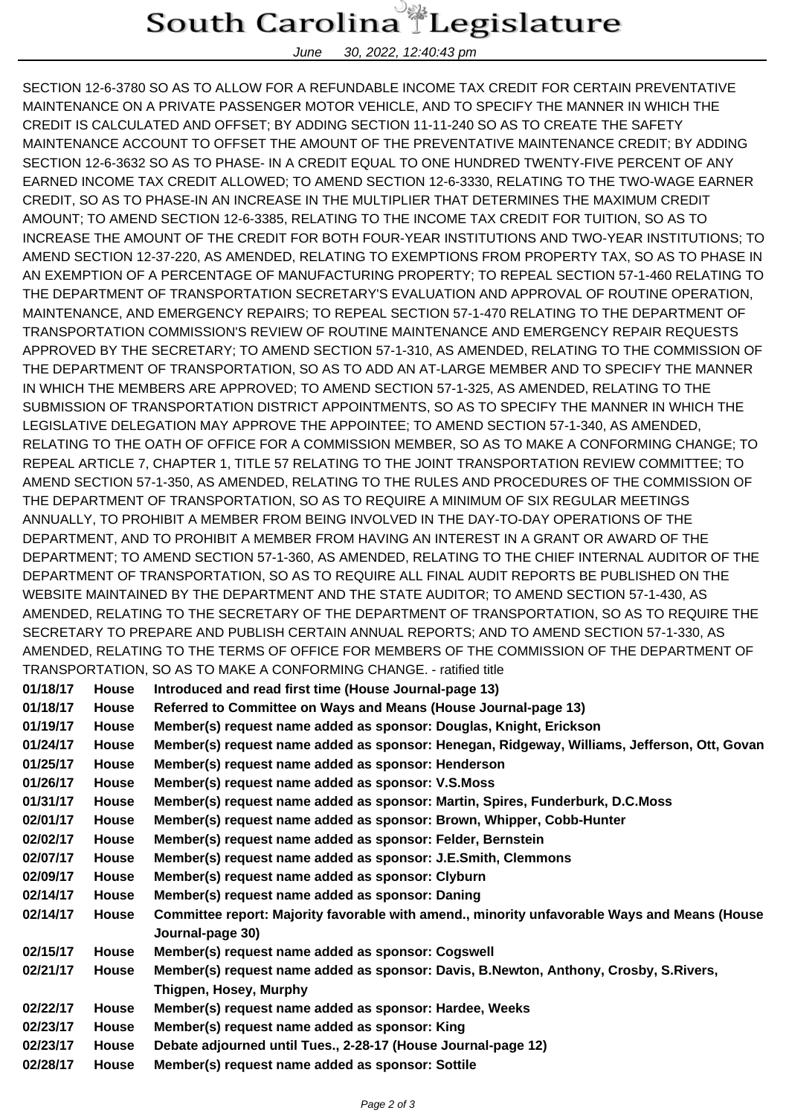## South Carolina Legislature

June 30, 2022, 12:40:43 pm

SECTION 12-6-3780 SO AS TO ALLOW FOR A REFUNDABLE INCOME TAX CREDIT FOR CERTAIN PREVENTATIVE MAINTENANCE ON A PRIVATE PASSENGER MOTOR VEHICLE, AND TO SPECIFY THE MANNER IN WHICH THE CREDIT IS CALCULATED AND OFFSET; BY ADDING SECTION 11-11-240 SO AS TO CREATE THE SAFETY MAINTENANCE ACCOUNT TO OFFSET THE AMOUNT OF THE PREVENTATIVE MAINTENANCE CREDIT; BY ADDING SECTION 12-6-3632 SO AS TO PHASE- IN A CREDIT EQUAL TO ONE HUNDRED TWENTY-FIVE PERCENT OF ANY EARNED INCOME TAX CREDIT ALLOWED; TO AMEND SECTION 12-6-3330, RELATING TO THE TWO-WAGE EARNER CREDIT, SO AS TO PHASE-IN AN INCREASE IN THE MULTIPLIER THAT DETERMINES THE MAXIMUM CREDIT AMOUNT; TO AMEND SECTION 12-6-3385, RELATING TO THE INCOME TAX CREDIT FOR TUITION, SO AS TO INCREASE THE AMOUNT OF THE CREDIT FOR BOTH FOUR-YEAR INSTITUTIONS AND TWO-YEAR INSTITUTIONS; TO AMEND SECTION 12-37-220, AS AMENDED, RELATING TO EXEMPTIONS FROM PROPERTY TAX, SO AS TO PHASE IN AN EXEMPTION OF A PERCENTAGE OF MANUFACTURING PROPERTY; TO REPEAL SECTION 57-1-460 RELATING TO THE DEPARTMENT OF TRANSPORTATION SECRETARY'S EVALUATION AND APPROVAL OF ROUTINE OPERATION, MAINTENANCE, AND EMERGENCY REPAIRS; TO REPEAL SECTION 57-1-470 RELATING TO THE DEPARTMENT OF TRANSPORTATION COMMISSION'S REVIEW OF ROUTINE MAINTENANCE AND EMERGENCY REPAIR REQUESTS APPROVED BY THE SECRETARY; TO AMEND SECTION 57-1-310, AS AMENDED, RELATING TO THE COMMISSION OF THE DEPARTMENT OF TRANSPORTATION, SO AS TO ADD AN AT-LARGE MEMBER AND TO SPECIFY THE MANNER IN WHICH THE MEMBERS ARE APPROVED; TO AMEND SECTION 57-1-325, AS AMENDED, RELATING TO THE SUBMISSION OF TRANSPORTATION DISTRICT APPOINTMENTS, SO AS TO SPECIFY THE MANNER IN WHICH THE LEGISLATIVE DELEGATION MAY APPROVE THE APPOINTEE; TO AMEND SECTION 57-1-340, AS AMENDED, RELATING TO THE OATH OF OFFICE FOR A COMMISSION MEMBER, SO AS TO MAKE A CONFORMING CHANGE; TO REPEAL ARTICLE 7, CHAPTER 1, TITLE 57 RELATING TO THE JOINT TRANSPORTATION REVIEW COMMITTEE; TO AMEND SECTION 57-1-350, AS AMENDED, RELATING TO THE RULES AND PROCEDURES OF THE COMMISSION OF THE DEPARTMENT OF TRANSPORTATION, SO AS TO REQUIRE A MINIMUM OF SIX REGULAR MEETINGS ANNUALLY, TO PROHIBIT A MEMBER FROM BEING INVOLVED IN THE DAY-TO-DAY OPERATIONS OF THE DEPARTMENT, AND TO PROHIBIT A MEMBER FROM HAVING AN INTEREST IN A GRANT OR AWARD OF THE DEPARTMENT; TO AMEND SECTION 57-1-360, AS AMENDED, RELATING TO THE CHIEF INTERNAL AUDITOR OF THE DEPARTMENT OF TRANSPORTATION, SO AS TO REQUIRE ALL FINAL AUDIT REPORTS BE PUBLISHED ON THE WEBSITE MAINTAINED BY THE DEPARTMENT AND THE STATE AUDITOR; TO AMEND SECTION 57-1-430, AS AMENDED, RELATING TO THE SECRETARY OF THE DEPARTMENT OF TRANSPORTATION, SO AS TO REQUIRE THE SECRETARY TO PREPARE AND PUBLISH CERTAIN ANNUAL REPORTS; AND TO AMEND SECTION 57-1-330, AS AMENDED, RELATING TO THE TERMS OF OFFICE FOR MEMBERS OF THE COMMISSION OF THE DEPARTMENT OF TRANSPORTATION, SO AS TO MAKE A CONFORMING CHANGE. - ratified title

| 01/18/17 | <b>House</b> | Introduced and read first time (House Journal-page 13)                                                           |
|----------|--------------|------------------------------------------------------------------------------------------------------------------|
| 01/18/17 | <b>House</b> | Referred to Committee on Ways and Means (House Journal-page 13)                                                  |
| 01/19/17 | <b>House</b> | Member(s) request name added as sponsor: Douglas, Knight, Erickson                                               |
| 01/24/17 | House        | Member(s) request name added as sponsor: Henegan, Ridgeway, Williams, Jefferson, Ott, Govan                      |
| 01/25/17 | <b>House</b> | Member(s) request name added as sponsor: Henderson                                                               |
| 01/26/17 | <b>House</b> | Member(s) request name added as sponsor: V.S.Moss                                                                |
| 01/31/17 | <b>House</b> | Member(s) request name added as sponsor: Martin, Spires, Funderburk, D.C.Moss                                    |
| 02/01/17 | <b>House</b> | Member(s) request name added as sponsor: Brown, Whipper, Cobb-Hunter                                             |
| 02/02/17 | <b>House</b> | Member(s) request name added as sponsor: Felder, Bernstein                                                       |
| 02/07/17 | <b>House</b> | Member(s) request name added as sponsor: J.E.Smith, Clemmons                                                     |
| 02/09/17 | <b>House</b> | Member(s) request name added as sponsor: Clyburn                                                                 |
| 02/14/17 | <b>House</b> | Member(s) request name added as sponsor: Daning                                                                  |
| 02/14/17 | <b>House</b> | Committee report: Majority favorable with amend., minority unfavorable Ways and Means (House<br>Journal-page 30) |
| 02/15/17 | <b>House</b> | Member(s) request name added as sponsor: Cogswell                                                                |
| 02/21/17 | <b>House</b> | Member(s) request name added as sponsor: Davis, B.Newton, Anthony, Crosby, S.Rivers,                             |
|          |              | Thigpen, Hosey, Murphy                                                                                           |
| 02/22/17 | <b>House</b> | Member(s) request name added as sponsor: Hardee, Weeks                                                           |
| 02/23/17 | <b>House</b> | Member(s) request name added as sponsor: King                                                                    |
| 02/23/17 | House        | Debate adjourned until Tues., 2-28-17 (House Journal-page 12)                                                    |
| 02/28/17 | House        | Member(s) request name added as sponsor: Sottile                                                                 |